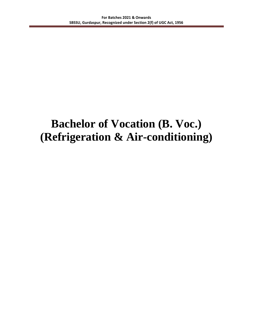## **Bachelor of Vocation (B. Voc.) (Refrigeration & Air-conditioning)**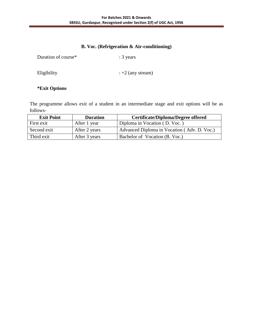## **B. Voc. (Refrigeration & Air-conditioning)**

| Duration of course* | $: 3 \text{ years}$    |
|---------------------|------------------------|
| Eligibility         | $\div$ +2 (any stream) |

## **\*Exit Options**

The programme allows exit of a student in an intermediate stage and exit options will be as follows-

| <b>Exit Point</b> | <b>Duration</b> | <b>Certificate/Diploma/Degree offered</b>   |
|-------------------|-----------------|---------------------------------------------|
| First exit        | After 1 year    | Diploma in Vocation (D. Voc.)               |
| Second exit       | After 2 years   | Advanced Diploma in Vocation (Adv. D. Voc.) |
| Third exit        | After 3 years   | Bachelor of Vocation (B. Voc.)              |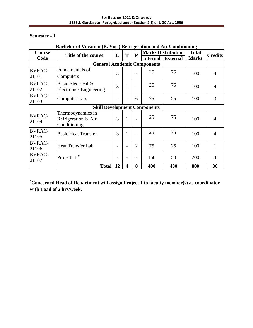| Bachelor of Vocation (B. Voc.) Refrigeration and Air Conditioning |                                     |    |                         |                         |                 |                           |              |                |  |  |  |
|-------------------------------------------------------------------|-------------------------------------|----|-------------------------|-------------------------|-----------------|---------------------------|--------------|----------------|--|--|--|
| <b>Course</b>                                                     | Title of the course                 | L  | T                       | $\overline{\mathbf{P}}$ |                 | <b>Marks Distribution</b> | <b>Total</b> | <b>Credits</b> |  |  |  |
| Code                                                              |                                     |    |                         |                         | <b>Internal</b> | <b>External</b>           | <b>Marks</b> |                |  |  |  |
|                                                                   | <b>General Academic Components</b>  |    |                         |                         |                 |                           |              |                |  |  |  |
| <b>BVRAC-</b>                                                     | Fundamentals of                     | 3  | $\mathbf{1}$            |                         | 25              | 75                        | 100          | $\overline{4}$ |  |  |  |
| 21101                                                             | Computers                           |    |                         |                         |                 |                           |              |                |  |  |  |
| <b>BVRAC-</b>                                                     | Basic Electrical &                  | 3  | $\mathbf{1}$            |                         | 25              | 75                        | 100          | $\overline{4}$ |  |  |  |
| 21102                                                             | <b>Electronics Engineering</b>      |    |                         |                         |                 |                           |              |                |  |  |  |
| <b>BVRAC-</b>                                                     | Computer Lab.                       |    |                         | 6                       | 75              | 25                        | 100          | 3              |  |  |  |
| 21103                                                             |                                     |    |                         |                         |                 |                           |              |                |  |  |  |
|                                                                   | <b>Skill Development Components</b> |    |                         |                         |                 |                           |              |                |  |  |  |
| <b>BVRAC-</b>                                                     | Thermodynamics in                   |    |                         |                         |                 |                           |              |                |  |  |  |
| 21104                                                             | Refrigeration & Air                 | 3  | 1                       |                         | 25              | 75                        | 100          | 4              |  |  |  |
|                                                                   | Conditioning                        |    |                         |                         |                 |                           |              |                |  |  |  |
| <b>BVRAC-</b>                                                     | <b>Basic Heat Transfer</b>          | 3  | 1                       |                         | 25              | 75                        | 100          | $\overline{4}$ |  |  |  |
| 21105                                                             |                                     |    |                         |                         |                 |                           |              |                |  |  |  |
| <b>BVRAC-</b>                                                     | Heat Transfer Lab.                  |    |                         | $\overline{2}$          | 75              | 25                        | 100          | 1              |  |  |  |
| 21106                                                             |                                     |    |                         |                         |                 |                           |              |                |  |  |  |
| <b>BVRAC-</b>                                                     | Project $-I$ <sup>#</sup>           |    |                         |                         | 150             | 50                        | 200          | 10             |  |  |  |
| 21107                                                             |                                     |    |                         |                         |                 |                           |              |                |  |  |  |
|                                                                   | <b>Total</b>                        | 12 | $\overline{\mathbf{4}}$ | 8                       | 400             | 400                       | 800          | 30             |  |  |  |

**#Concerned Head of Department will assign Project-I to faculty member(s) as coordinator with Load of 2 hrs/week.**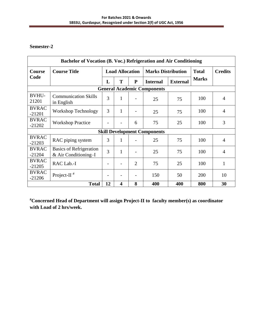| Bachelor of Vocation (B. Voc.) Refrigeration and Air Conditioning |                                                          |                        |                         |                |                                     |                 |              |                |  |  |  |  |
|-------------------------------------------------------------------|----------------------------------------------------------|------------------------|-------------------------|----------------|-------------------------------------|-----------------|--------------|----------------|--|--|--|--|
| Course                                                            | <b>Course Title</b>                                      | <b>Load Allocation</b> |                         |                | <b>Marks Distribution</b>           |                 | <b>Total</b> | <b>Credits</b> |  |  |  |  |
| Code                                                              |                                                          | L                      | T                       | P              | <b>Internal</b>                     | <b>External</b> | <b>Marks</b> |                |  |  |  |  |
|                                                                   | <b>General Academic Components</b>                       |                        |                         |                |                                     |                 |              |                |  |  |  |  |
| <b>BVHU-</b><br>21201                                             | <b>Communication Skills</b><br>in English                | 3                      | 1                       |                | 25                                  | 75              | 100          | $\overline{4}$ |  |  |  |  |
| <b>BVRAC</b><br>$-21201$                                          | Workshop Technology                                      | 3                      | 1                       |                | 25                                  | 75              | 100          | $\overline{4}$ |  |  |  |  |
| <b>BVRAC</b><br>$-21202$                                          | <b>Workshop Practice</b>                                 |                        |                         | 6              | 75                                  | 25              | 100          | 3              |  |  |  |  |
|                                                                   |                                                          |                        |                         |                | <b>Skill Development Components</b> |                 |              |                |  |  |  |  |
| <b>BVRAC</b><br>$-21203$                                          | RAC piping system                                        | 3                      | 1                       |                | 25                                  | 75              | 100          | $\overline{4}$ |  |  |  |  |
| <b>BVRAC</b><br>$-21204$                                          | <b>Basics of Refrigeration</b><br>$&$ Air Conditioning–I | 3                      | 1                       |                | 25                                  | 75              | 100          | $\overline{4}$ |  |  |  |  |
| <b>BVRAC</b><br>$-21205$                                          | RAC Lab.-I                                               |                        |                         | $\overline{2}$ | 75                                  | 25              | 100          | $\mathbf{1}$   |  |  |  |  |
| <b>BVRAC</b><br>$-21206$                                          | Project-II $#$                                           |                        |                         |                | 150                                 | 50              | 200          | 10             |  |  |  |  |
|                                                                   | <b>Total</b>                                             | 12                     | $\overline{\mathbf{4}}$ | 8              | 400                                 | 400             | 800          | 30             |  |  |  |  |

**#Concerned Head of Department will assign Project-II to faculty member(s) as coordinator with Load of 2 hrs/week.**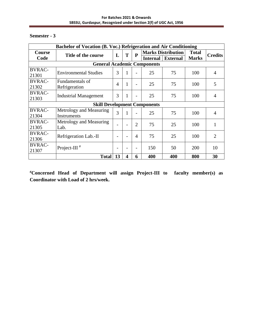| Bachelor of Vocation (B. Voc.) Refrigeration and Air Conditioning |                                        |                 |   |                          |                 |                                              |                              |                |  |
|-------------------------------------------------------------------|----------------------------------------|-----------------|---|--------------------------|-----------------|----------------------------------------------|------------------------------|----------------|--|
| <b>Course</b><br>Code                                             | Title of the course                    | L               | T | $\mathbf{P}$             | <b>Internal</b> | <b>Marks Distribution</b><br><b>External</b> | <b>Total</b><br><b>Marks</b> | <b>Credits</b> |  |
|                                                                   | <b>General Academic Components</b>     |                 |   |                          |                 |                                              |                              |                |  |
| <b>BVRAC-</b><br>21301                                            | <b>Environmental Studies</b>           | 3               | 1 | $\overline{a}$           | 25              | 75                                           | 100                          | 4              |  |
| <b>BVRAC-</b><br>21302                                            | Fundamentals of<br>Refrigeration       | 4               | 1 | $\overline{a}$           | 25              | 75                                           | 100                          | 5              |  |
| <b>BVRAC-</b><br>21303                                            | <b>Industrial Management</b>           | 3               | 1 |                          | 25              | 75                                           | 100                          | 4              |  |
|                                                                   | <b>Skill Development Components</b>    |                 |   |                          |                 |                                              |                              |                |  |
| <b>BVRAC-</b><br>21304                                            | Metrology and Measuring<br>Instruments | 3               | 1 | $\overline{\phantom{0}}$ | 25              | 75                                           | 100                          | 4              |  |
| <b>BVRAC-</b><br>21305                                            | Metrology and Measuring<br>Lab.        |                 |   | 2                        | 75              | 25                                           | 100                          | 1              |  |
| <b>BVRAC-</b><br>21306                                            | Refrigeration Lab.-II                  | $\qquad \qquad$ |   | 4                        | 75              | 25                                           | 100                          | $\overline{2}$ |  |
| <b>BVRAC-</b><br>21307                                            | Project-III $#$                        | $\qquad \qquad$ |   |                          | 150             | 50                                           | <b>200</b>                   | 10             |  |
|                                                                   | <b>Total</b>                           | 13              | 4 | 6                        | 400             | 400                                          | 800                          | 30             |  |

**#Concerned Head of Department will assign Project-III to faculty member(s) as Coordinator with Load of 2 hrs/week.**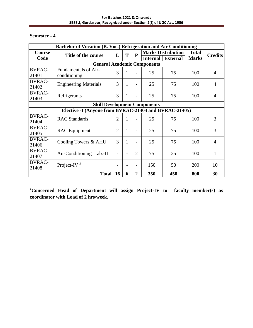| Bachelor of Vocation (B. Voc.) Refrigeration and Air Conditioning |                                                       |                          |              |                |                           |                 |              |                |  |  |
|-------------------------------------------------------------------|-------------------------------------------------------|--------------------------|--------------|----------------|---------------------------|-----------------|--------------|----------------|--|--|
| Course                                                            | Title of the course                                   | L                        | T            | $\mathbf{P}$   | <b>Marks Distribution</b> |                 | <b>Total</b> |                |  |  |
| Code                                                              |                                                       |                          |              |                | <b>Internal</b>           | <b>External</b> | <b>Marks</b> | <b>Credits</b> |  |  |
|                                                                   | <b>General Academic Components</b>                    |                          |              |                |                           |                 |              |                |  |  |
| <b>BVRAC-</b>                                                     | <b>Fundamentals of Air-</b>                           | 3                        | 1            |                | 25                        | 75              | 100          | 4              |  |  |
| 21401                                                             | conditioning                                          |                          |              |                |                           |                 |              |                |  |  |
| <b>BVRAC-</b><br>21402                                            | <b>Engineering Materials</b>                          | 3                        | $\mathbf{1}$ | -              | 25                        | 75              | 100          | 4              |  |  |
| <b>BVRAC-</b><br>21403                                            | Refrigerants                                          | 3                        | 1            |                | 25                        | 75              | 100          | 4              |  |  |
|                                                                   | <b>Skill Development Components</b>                   |                          |              |                |                           |                 |              |                |  |  |
|                                                                   | Elective -I (Anyone from BVRAC-21404 and BVRAC-21405) |                          |              |                |                           |                 |              |                |  |  |
| <b>BVRAC-</b>                                                     |                                                       | $\overline{2}$           |              |                |                           |                 |              | 3              |  |  |
| 21404                                                             | <b>RAC</b> Standards                                  |                          | 1            | $\overline{a}$ | 25                        | 75              | 100          |                |  |  |
| <b>BVRAC-</b>                                                     |                                                       | $\overline{2}$           | 1            |                | 25                        | 75              | 100          | 3              |  |  |
| 21405                                                             | <b>RAC</b> Equipment                                  |                          |              |                |                           |                 |              |                |  |  |
| <b>BVRAC-</b>                                                     |                                                       | 3                        | 1            |                | 25                        | 75              | 100          | 4              |  |  |
| 21406                                                             | Cooling Towers & AHU                                  |                          |              | $\overline{a}$ |                           |                 |              |                |  |  |
| <b>BVRAC-</b>                                                     |                                                       |                          |              | $\overline{2}$ |                           |                 |              |                |  |  |
| 21407                                                             | Air-Conditioning Lab.-II                              | $\overline{\phantom{0}}$ |              |                | 75                        | 25              | 100          | 1              |  |  |
| <b>BVRAC-</b><br>21408                                            | Project-IV $*$                                        |                          |              |                | 150                       | 50              | 200          | 10             |  |  |
|                                                                   | <b>Total</b>                                          | <b>16</b>                | 6            | $\overline{2}$ | 350                       | 450             | 800          | 30             |  |  |

**#Concerned Head of Department will assign Project-IV to faculty member(s) as coordinator with Load of 2 hrs/week.**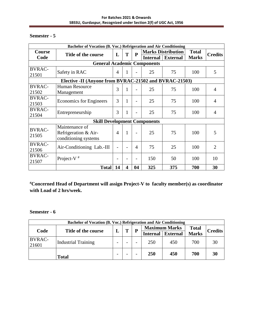| Bachelor of Vocation (B. Voc.) Refrigeration and Air Conditioning |                                                        |                          |                         |                          |                           |                 |              |                |  |  |
|-------------------------------------------------------------------|--------------------------------------------------------|--------------------------|-------------------------|--------------------------|---------------------------|-----------------|--------------|----------------|--|--|
| <b>Course</b>                                                     | Title of the course                                    | L                        | T                       | $\mathbf{P}$             | <b>Marks Distribution</b> |                 | <b>Total</b> |                |  |  |
| Code                                                              |                                                        |                          |                         |                          | <b>Internal</b>           | <b>External</b> | <b>Marks</b> | <b>Credits</b> |  |  |
|                                                                   | <b>General Academic Components</b>                     |                          |                         |                          |                           |                 |              |                |  |  |
| <b>BVRAC-</b>                                                     |                                                        | $\overline{4}$           |                         |                          |                           | 75              |              | 5              |  |  |
| 21501                                                             | Safety in RAC                                          |                          | 1                       | $\overline{\phantom{0}}$ | 25                        |                 | 100          |                |  |  |
|                                                                   | Elective -II (Anyone from BVRAC-21502 and BVRAC-21503) |                          |                         |                          |                           |                 |              |                |  |  |
| <b>BVRAC-</b>                                                     | <b>Human Resource</b>                                  | 3                        |                         |                          |                           |                 |              |                |  |  |
| 21502                                                             | Management                                             |                          |                         | $\overline{\phantom{0}}$ | 25                        | 75              | 100          | $\overline{4}$ |  |  |
| <b>BVRAC-</b>                                                     |                                                        |                          |                         |                          |                           |                 |              |                |  |  |
| 21503                                                             | <b>Economics</b> for Engineers                         | 3                        | 1                       | $\overline{\phantom{a}}$ | 25                        | 75              | 100          | $\overline{4}$ |  |  |
| <b>BVRAC-</b>                                                     |                                                        |                          |                         |                          |                           |                 |              |                |  |  |
| 21504                                                             | Entrepreneurship                                       | 3                        |                         |                          | 25                        | 75              | 100          | 4              |  |  |
|                                                                   | <b>Skill Development Components</b>                    |                          |                         |                          |                           |                 |              |                |  |  |
| <b>BVRAC-</b>                                                     | Maintenance of                                         |                          |                         |                          |                           |                 |              |                |  |  |
|                                                                   | Refrigeration & Air-                                   | $\overline{4}$           | 1                       |                          | 25                        | 75              | 100          | 5              |  |  |
| 21505                                                             | conditioning systems                                   |                          |                         |                          |                           |                 |              |                |  |  |
| <b>BVRAC-</b>                                                     |                                                        |                          |                         |                          |                           |                 |              | $\overline{2}$ |  |  |
| 21506                                                             | Air-Conditioning Lab.-III                              | $\overline{\phantom{0}}$ |                         | $\overline{4}$           | 75                        | 25              | 100          |                |  |  |
| <b>BVRAC-</b>                                                     |                                                        |                          |                         |                          | 150                       |                 |              | 10             |  |  |
| 21507                                                             | Project-V $#$                                          |                          |                         | $\overline{a}$           |                           | 50              | 100          |                |  |  |
|                                                                   | <b>Total</b>                                           | 14                       | $\overline{\mathbf{4}}$ | 04                       | 325                       | 375             | 700          | 30             |  |  |

**#Concerned Head of Department will assign Project-V to faculty member(s) as coordinator with Load of 2 hrs/week.** 

## **Semester - 6**

| Bachelor of Vocation (B. Voc.) Refrigeration and Air Conditioning |                            |   |   |   |          |                      |              |                |  |  |
|-------------------------------------------------------------------|----------------------------|---|---|---|----------|----------------------|--------------|----------------|--|--|
|                                                                   |                            |   | T | D |          | <b>Maximum Marks</b> | <b>Total</b> | <b>Credits</b> |  |  |
| Code                                                              | Title of the course        |   |   |   | Internal | <b>External</b>      | <b>Marks</b> |                |  |  |
| <b>BVRAC-</b><br>21601                                            | <b>Industrial Training</b> | - |   |   | 250      | 450                  | 700          | 30             |  |  |
|                                                                   | <b>Total</b>               | - |   |   | 250      | 450                  | 700          | 30             |  |  |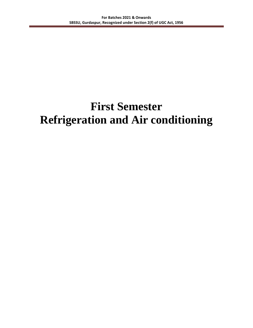# **First Semester Refrigeration and Air conditioning**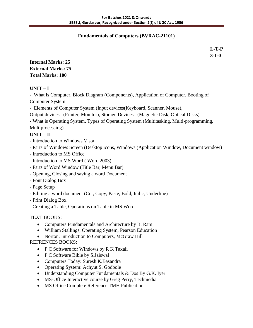#### **Fundamentals of Computers (BVRAC-21101)**

 **L-T-P 3-1-0**

**Internal Marks: 25 External Marks: 75 Total Marks: 100**

### **UNIT – I**

- What is Computer, Block Diagram (Components), Application of Computer, Booting of Computer System

- Elements of Computer System (Input devices(Keyboard, Scanner, Mouse),

Output devices– (Printer, Monitor), Storage Devices– (Magnetic Disk, Optical Disks)

- What is Operating System, Types of Operating System (Multitasking, Multi-programming,

Multiprocessing)

## **UNIT – II**

- Introduction to Windows Vista
- Parts of Windows Screen (Desktop icons, Windows (Application Window, Document window)
- Introduction to MS Office
- Introduction to MS Word ( Word 2003)
- Parts of Word Window (Title Bar, Menu Bar)
- Opening, Closing and saving a word Document
- Font Dialog Box
- Page Setup
- Editing a word document (Cut, Copy, Paste, Bold, Italic, Underline)
- Print Dialog Box
- Creating a Table, Operations on Table in MS Word

## TEXT BOOKS:

- Computers Fundamentals and Architecture by B. Ram
- William Stallings, Operating System, Pearson Education
- Norton, Introduction to Computers, McGraw Hill

## REFRENCES BOOKS:

- P C Software for Windows by R K Taxali
- P C Software Bible by S.Jaiswal
- Computers Today: Suresh K.Basandra
- Operating System: Achyut S. Godbole
- Understanding Computer Fundamentals & Dos By G.K. Iyer
- MS-Office Interactive course by Greg Perry, Techmedia
- MS Office Complete Reference TMH Publication.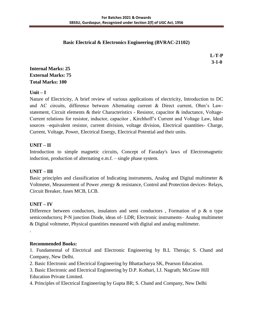#### **Basic Electrical & Electronics Engineering (BVRAC-21102)**

**L-T-P 3-1-0**

## **Internal Marks: 25 External Marks: 75 Total Marks: 100**

## $\textbf{Unit} - \textbf{I}$

Nature of Electricity, A brief review of various applications of electricity, Introduction to DC and AC circuits, difference between Alternating current & Direct current, Ohm's Lawstatement, Circuit elements & their Characteristics - Resistor, capacitor & inductance, Voltage-Current relations for resistor, inductor, capacitor , Kirchhoff's Current and Voltage Law, Ideal sources –equivalent resistor, current division, voltage division, Electrical quantities- Charge, Current, Voltage, Power, Electrical Energy, Electrical Potential and their units.

## **UNIT – II**

Introduction to simple magnetic circuits, Concept of Faraday's laws of Electromagnetic induction, production of alternating e.m.f. – single phase system.

## **UNIT – III**

Basic principles and classification of Indicating instruments, Analog and Digital multimeter & Voltmeter, Measurement of Power ,energy & resistance, Control and Protection devices- Relays, Circuit Breaker, fuses MCB, LCB.

## **UNIT – IV**

.

Difference between conductors, insulators and semi conductors, Formation of  $p \& n$  type semiconductors**;** P-N junction Diode, ideas of**-** LDR; Electronic instruments– Analog multimeter & Digital voltmeter, Physical quantities measured with digital and analog multimeter.

#### **Recommended Books:**

1. Fundamental of Electrical and Electronic Engineering by B.L Theraja; S. Chand and Company, New Delhi.

- 2. Basic Electronic and Electrical Engineering by Bhattacharya SK, Pearson Education.
- 3. Basic Electronic and Electrical Engineering by D.P. Kothari, I.J. Nagrath; McGraw Hill Education Private Limited.
- 4. Principles of Electrical Engineering by Gupta BR; S. Chand and Company, New Delhi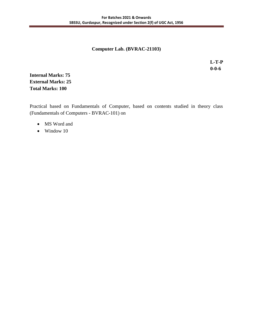#### **Computer Lab. (BVRAC-21103)**

 **L-T-P 0-0-6**

**Internal Marks: 75 External Marks: 25 Total Marks: 100**

Practical based on Fundamentals of Computer, based on contents studied in theory class (Fundamentals of Computers - BVRAC-101) on

- MS Word and
- Window 10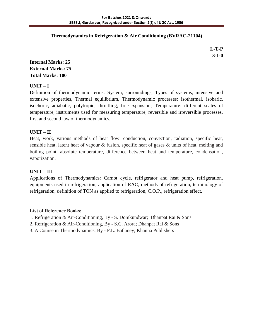#### **Thermodynamics in Refrigeration & Air Conditioning (BVRAC-21104)**

 **L-T-P 3-1-0**

## **Internal Marks: 25 External Marks: 75 Total Marks: 100**

## **UNIT – I**

Definition of thermodynamic terms: System, surroundings, Types of systems, intensive and extensive properties, Thermal equilibrium, Thermodynamic processes: isothermal, isobaric, isochoric, adiabatic, polytropic, throttling, free-expansion; Temperature: different scales of temperature, instruments used for measuring temperature, reversible and irreversible processes, first and second law of thermodynamics.

### **UNIT – II**

Heat, work, various methods of heat flow: conduction, convection, radiation, specific heat, sensible heat, latent heat of vapour & fusion, specific heat of gases & units of heat, melting and boiling point, absolute temperature, difference between heat and temperature, condensation, vaporization.

#### **UNIT – III**

Applications of Thermodynamics: Carnot cycle, refrigerator and heat pump, refrigeration, equipments used in refrigeration, application of RAC, methods of refrigeration, terminology of refrigeration, definition of TON as applied to refrigeration, C.O.P., refrigeration effect.

#### **List of Reference Books:**

- 1. Refrigeration & Air-Conditioning, By S. Domkundwar; Dhanpat Rai & Sons
- 2. Refrigeration & Air-Conditioning, By S.C. Arora; Dhanpat Rai & Sons
- 3. A Course in Thermodynamics, By P.L. Batlaney; Khanna Publishers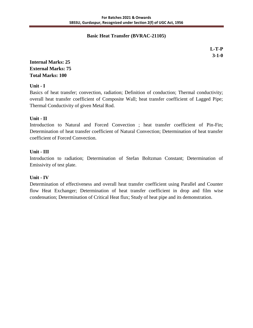#### **Basic Heat Transfer (BVRAC-21105)**

 **L-T-P 3-1-0**

## **Internal Marks: 25 External Marks: 75 Total Marks: 100**

**Unit - I**

Basics of heat transfer; convection, radiation; Definition of conduction; Thermal conductivity; overall heat transfer coefficient of Composite Wall; heat transfer coefficient of Lagged Pipe; Thermal Conductivity of given Metal Rod.

#### **Unit - II**

Introduction to Natural and Forced Convection ; heat transfer coefficient of Pin-Fin; Determination of heat transfer coefficient of Natural Convection; Determination of heat transfer coefficient of Forced Convection.

### **Unit - III**

Introduction to radiation; Determination of Stefan Boltzman Constant; Determination of Emissivity of test plate.

## **Unit - IV**

Determination of effectiveness and overall heat transfer coefficient using Parallel and Counter flow Heat Exchanger; Determination of heat transfer coefficient in drop and film wise condensation; Determination of Critical Heat flux; Study of heat pipe and its demonstration.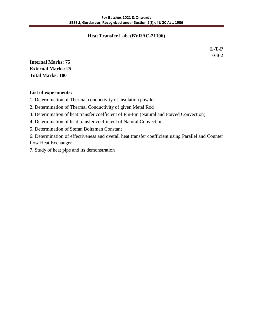#### **Heat Transfer Lab. (BVRAC-21106)**

 **L-T-P 0-0-2**

**Internal Marks: 75 External Marks: 25 Total Marks: 100**

#### **List of experiments:**

1. Determination of Thermal conductivity of insulation powder

2. Determination of Thermal Conductivity of given Metal Rod

3. Determination of heat transfer coefficient of Pin-Fin (Natural and Forced Convection)

4. Determination of heat transfer coefficient of Natural Convection

5. Determination of Stefan Boltzman Constant

6. Determination of effectiveness and overall heat transfer coefficient using Parallel and Counter flow Heat Exchanger

7. Study of heat pipe and its demonstration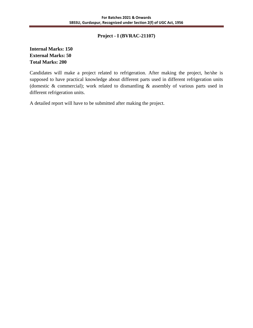#### **Project - I (BVRAC-21107)**

## **Internal Marks: 150 External Marks: 50 Total Marks: 200**

Candidates will make a project related to refrigeration. After making the project, he/she is supposed to have practical knowledge about different parts used in different refrigeration units (domestic & commercial); work related to dismantling & assembly of various parts used in different refrigeration units.

A detailed report will have to be submitted after making the project.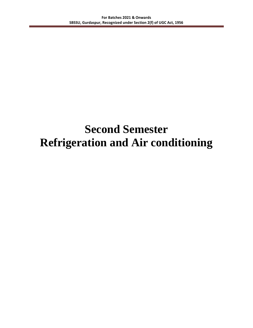## **Second Semester Refrigeration and Air conditioning**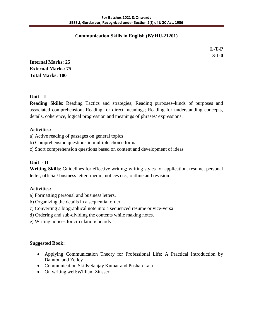#### **Communication Skills in English (BVHU-21201)**

 **L-T-P 3-1-0**

**Internal Marks: 25 External Marks: 75 Total Marks: 100**

### **Unit – I**

**Reading Skills**: Reading Tactics and strategies; Reading purposes–kinds of purposes and associated comprehension; Reading for direct meanings; Reading for understanding concepts, details, coherence, logical progression and meanings of phrases/ expressions.

#### **Activities:**

a) Active reading of passages on general topics

b) Comprehension questions in multiple choice format

c) Short comprehension questions based on content and development of ideas

## **Unit - II**

**Writing Skills**: Guidelines for effective writing; writing styles for application, resume, personal letter, official/ business letter, memo, notices etc.; outline and revision.

#### **Activities:**

a) Formatting personal and business letters.

- b) Organizing the details in a sequential order
- c) Converting a biographical note into a sequenced resume or vice-versa
- d) Ordering and sub-dividing the contents while making notes.
- e) Writing notices for circulation/ boards

#### **Suggested Book:**

- Applying Communication Theory for Professional Life: A Practical Introduction by Dainton and Zelley
- Communication Skills: Sanjay Kumar and Pushap Lata
- On writing well: William Zinsser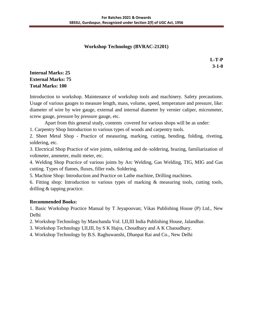## **Workshop Technology (BVRAC-21201)**

 **L-T-P 3-1-0**

## **Internal Marks: 25 External Marks: 75 Total Marks: 100**

Introduction to workshop. Maintenance of workshop tools and machinery. Safety precautions. Usage of various gauges to measure length, mass, volume, speed, temperature and pressure, like: diameter of wire by wire gauge, external and internal diameter by vernier caliper, micrometer, screw gauge, pressure by pressure gauge, etc.

Apart from this general study, contents covered for various shops will be as under:

1. Carpentry Shop Introduction to various types of woods and carpentry tools.

2. Sheet Metal Shop - Practice of measuring, marking, cutting, bending, folding, riveting, soldering, etc.

3. Electrical Shop Practice of wire joints, soldering and de–soldering, brazing, familiarization of voltmeter, ammeter, multi meter, etc.

4. Welding Shop Practice of various joints by Arc Welding, Gas Welding, TIG, MIG and Gas cutting. Types of flames, fluxes, filler rods. Soldering.

5. Machine Shop: Introduction and Practice on Lathe machine, Drilling machines.

6. Fitting shop: Introduction to various types of marking & measuring tools, cutting tools, drilling & tapping practice.

#### **Recommended Books:**

1. Basic Workshop Practice Manual by T Jeyapoovan; Vikas Publishing House (P) Ltd., New Delhi

2. Workshop Technology by Manchanda Vol. I,II,III India Publishing House, Jalandhar.

3. Workshop Technology I,II,III, by S K Hajra, Choudhary and A K Chaoudhary.

4. Workshop Technology by B.S. Raghuwanshi, Dhanpat Rai and Co., New Delhi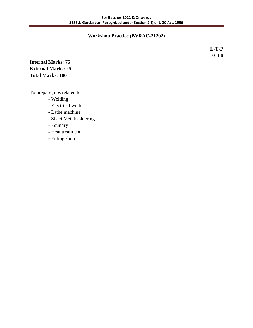#### **Workshop Practice (BVRAC-21202)**

 **L-T-P 0-0-6**

## **Internal Marks: 75 External Marks: 25 Total Marks: 100**

To prepare jobs related to

- Welding
- Electrical work
- Lathe machine
- Sheet Metal/soldering
- Foundry
- Heat treatment
- Fitting shop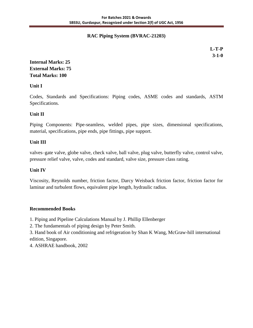### **RAC Piping System (BVRAC-21203)**

 **L-T-P 3-1-0**

## **Internal Marks: 25 External Marks: 75 Total Marks: 100**

**Unit I** 

Codes, Standards and Specifications: Piping codes, ASME codes and standards, ASTM Specifications.

### **Unit II**

Piping Components: Pipe-seamless, welded pipes, pipe sizes, dimensional specifications, material, specifications, pipe ends, pipe fittings, pipe support.

### **Unit III**

valves–gate valve, globe valve, check valve, ball valve, plug valve, butterfly valve, control valve, pressure relief valve, valve, codes and standard, valve size, pressure class rating.

#### **Unit IV**

Viscosity, Reynolds number, friction factor, Darcy Weisback friction factor, friction factor for laminar and turbulent flows, equivalent pipe length, hydraulic radius.

#### **Recommended Books**

1. Piping and Pipeline Calculations Manual by J. Phillip Ellenberger

2. The fundamentals of piping design by Peter Smith.

3. Hand book of Air conditioning and refrigeration by Shan K Wang, McGraw-hill international edition, Singapore.

4. ASHRAE handbook, 2002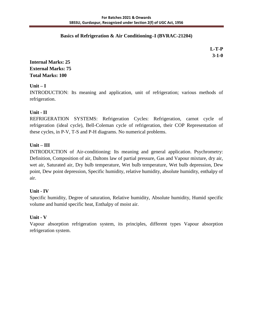#### **Basics of Refrigeration & Air Conditioning–I (BVRAC-21204)**

 **L-T-P 3-1-0**

## **Internal Marks: 25 External Marks: 75 Total Marks: 100**

## **Unit – I**

INTRODUCTION: Its meaning and application, unit of refrigeration; various methods of refrigeration.

### **Unit - II**

REFRIGERATION SYSTEMS: Refrigeration Cycles: Refrigeration, carnot cycle of refrigeration (ideal cycle), Bell-Coleman cycle of refrigeration, their COP Representation of these cycles, in P-V, T-S and P-H diagrams. No numerical problems.

### **Unit – III**

INTRODUCTION of Air-conditioning: Its meaning and general application. Psychrometry: Definition, Composition of air, Daltons law of partial pressure, Gas and Vapour mixture, dry air, wet air, Saturated air, Dry bulb temperature, Wet bulb temperature, Wet bulb depression, Dew point, Dew point depression, Specific humidity, relative humidity, absolute humidity, enthalpy of air.

#### **Unit - IV**

Specific humidity, Degree of saturation, Relative humidity, Absolute humidity, Humid specific volume and humid specific heat, Enthalpy of moist air.

#### **Unit - V**

Vapour absorption refrigeration system, its principles, different types Vapour absorption refrigeration system.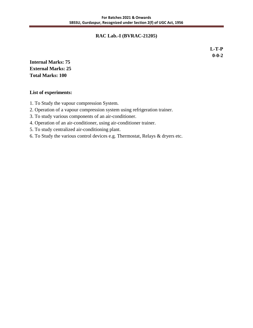#### **RAC Lab.-I (BVRAC-21205)**

 **L-T-P 0-0-2**

**Internal Marks: 75 External Marks: 25 Total Marks: 100**

#### **List of experiments:**

- 1. To Study the vapour compression System.
- 2. Operation of a vapour compression system using refrigeration trainer.
- 3. To study various components of an air-conditioner.
- 4. Operation of an air-conditioner, using air-conditioner trainer.
- 5. To study centralized air-conditioning plant.
- 6. To Study the various control devices e.g. Thermostat, Relays & dryers etc.